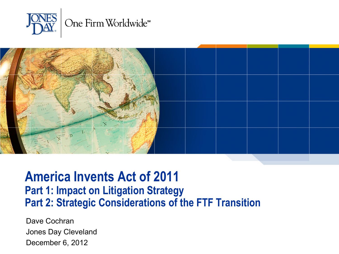



#### **America Invents Act of 2011 Part 1: Impact on Litigation Strategy Part 2: Strategic Considerations of the FTF Transition**

Dave Cochran Jones Day Cleveland December 6, 2012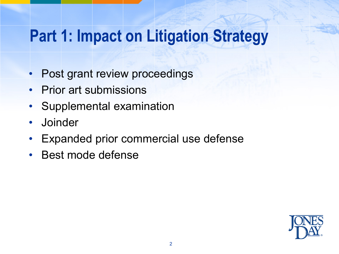## **Part 1: Impact on Litigation Strategy**

- Post grant review proceedings
- Prior art submissions
- Supplemental examination
- Joinder
- Expanded prior commercial use defense
- Best mode defense

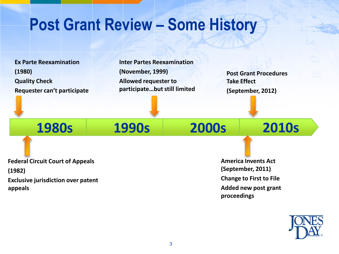### **Post Grant Review – Some History**

**Ex Parte Reexamination (1980) Quality Check Requester can't participate** **Inter Partes Reexamination (November, 1999) Allowed requester to participate…but still limited**

**Post Grant Procedures Take Effect (September, 2012)**

**1980s 1990s 2000s 2010s**

**Federal Circuit Court of Appeals (1982) Exclusive jurisdiction over patent** 

**appeals**

**America Invents Act (September, 2011) Change to First to File Added new post grant proceedings**

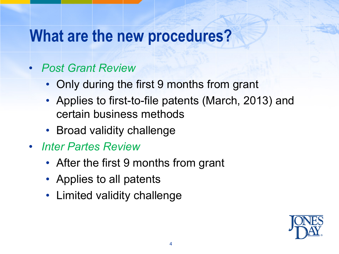### **What are the new procedures?**

#### • *Post Grant Review*

- Only during the first 9 months from grant
- Applies to first-to-file patents (March, 2013) and certain business methods
- Broad validity challenge
- *Inter Partes Review*
	- After the first 9 months from grant
	- Applies to all patents
	- Limited validity challenge

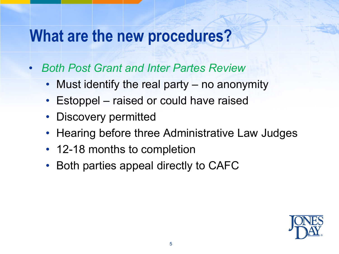### **What are the new procedures?**

- *Both Post Grant and Inter Partes Review*
	- Must identify the real party no anonymity
	- Estoppel raised or could have raised
	- Discovery permitted
	- Hearing before three Administrative Law Judges
	- 12-18 months to completion
	- Both parties appeal directly to CAFC

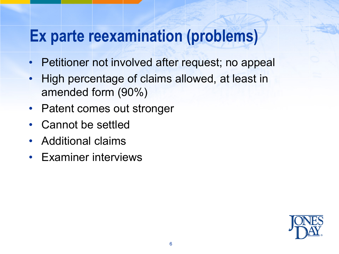## **Ex parte reexamination (problems)**

- Petitioner not involved after request; no appeal
- High percentage of claims allowed, at least in amended form (90%)
- Patent comes out stronger
- Cannot be settled
- Additional claims
- Examiner interviews

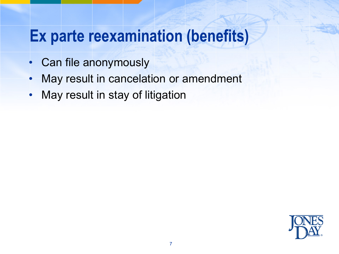### **Ex parte reexamination (benefits)**

- Can file anonymously
- May result in cancelation or amendment
- May result in stay of litigation

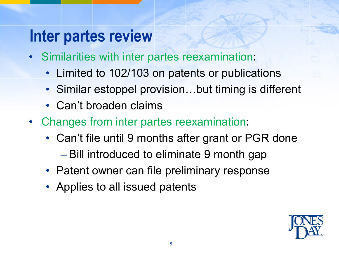### **Inter partes review**

- Similarities with inter partes reexamination:
	- Limited to 102/103 on patents or publications
	- Similar estoppel provision...but timing is different
	- Can't broaden claims
- Changes from inter partes reexamination:
	- Can't file until 9 months after grant or PGR done
		- Bill introduced to eliminate 9 month gap
	- Patent owner can file preliminary response
	- Applies to all issued patents

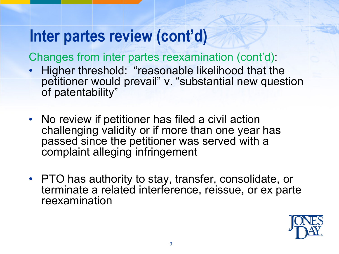Changes from inter partes reexamination (cont'd):

- Higher threshold: "reasonable likelihood that the petitioner would prevail" v. "substantial new question of patentability"
- No review if petitioner has filed a civil action challenging validity or if more than one year has passed since the petitioner was served with a complaint alleging infringement
- PTO has authority to stay, transfer, consolidate, or terminate a related interference, reissue, or ex parte reexamination

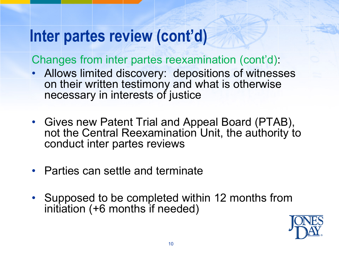Changes from inter partes reexamination (cont'd):

- Allows limited discovery: depositions of witnesses on their written testimony and what is otherwise necessary in interests of justice
- Gives new Patent Trial and Appeal Board (PTAB), not the Central Reexamination Unit, the authority to conduct inter partes reviews
- Parties can settle and terminate
- Supposed to be completed within 12 months from initiation (+6 months if needed)

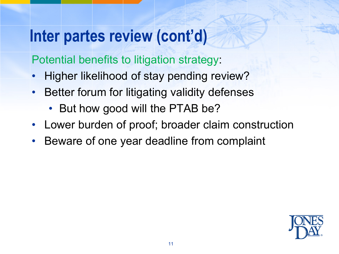Potential benefits to litigation strategy:

- Higher likelihood of stay pending review?
- Better forum for litigating validity defenses
	- But how good will the PTAB be?
- Lower burden of proof; broader claim construction
- Beware of one year deadline from complaint

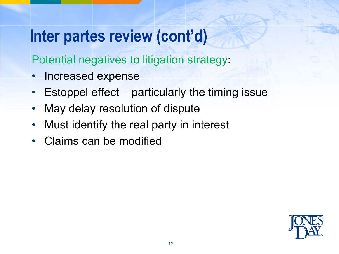Potential negatives to litigation strategy:

- Increased expense
- Estoppel effect particularly the timing issue
- May delay resolution of dispute
- Must identify the real party in interest
- Claims can be modified

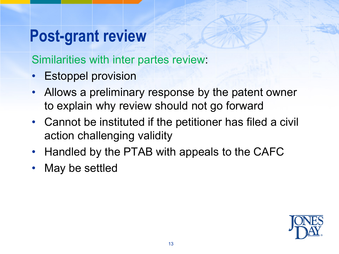## **Post-grant review**

Similarities with inter partes review:

- **Estoppel provision**
- Allows a preliminary response by the patent owner to explain why review should not go forward
- Cannot be instituted if the petitioner has filed a civil action challenging validity
- Handled by the PTAB with appeals to the CAFC
- May be settled

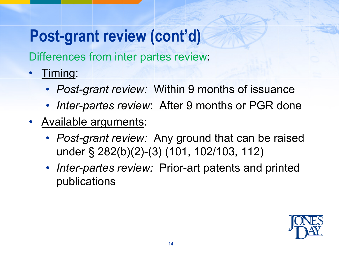## **Post-grant review (cont'd)**

Differences from inter partes review:

- Timing:
	- *Post-grant review:* Within 9 months of issuance
	- *Inter-partes review*: After 9 months or PGR done
- Available arguments:
	- *Post-grant review:* Any ground that can be raised under § 282(b)(2)-(3) (101, 102/103, 112)
	- *Inter-partes review:* Prior-art patents and printed publications

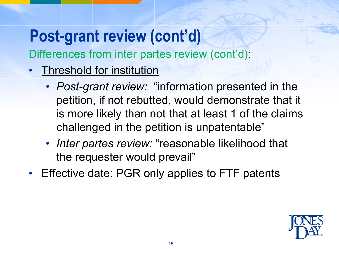# **Post-grant review (cont'd)**

Differences from inter partes review (cont'd):

- Threshold for institution
	- *Post-grant review:* "information presented in the petition, if not rebutted, would demonstrate that it is more likely than not that at least 1 of the claims challenged in the petition is unpatentable"
	- *Inter partes review:* "reasonable likelihood that the requester would prevail"
- Effective date: PGR only applies to FTF patents

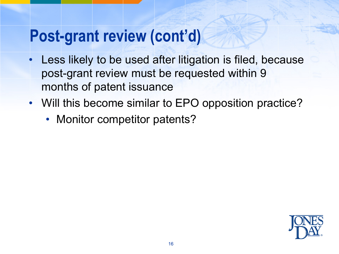### **Post-grant review (cont'd)**

- Less likely to be used after litigation is filed, because post-grant review must be requested within 9 months of patent issuance
- Will this become similar to EPO opposition practice?
	- Monitor competitor patents?

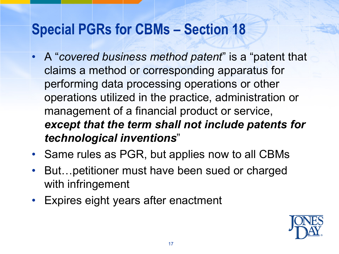#### **Special PGRs for CBMs – Section 18**

- A "*covered business method patent*" is a "patent that claims a method or corresponding apparatus for performing data processing operations or other operations utilized in the practice, administration or management of a financial product or service, *except that the term shall not include patents for technological inventions*"
- Same rules as PGR, but applies now to all CBMs
- But…petitioner must have been sued or charged with infringement
- Expires eight years after enactment

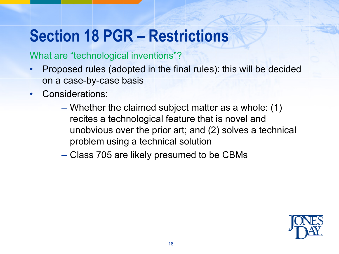## **Section 18 PGR – Restrictions**

#### What are "technological inventions"?

- Proposed rules (adopted in the final rules): this will be decided on a case-by-case basis
- Considerations:
	- Whether the claimed subject matter as a whole: (1) recites a technological feature that is novel and unobvious over the prior art; and (2) solves a technical problem using a technical solution
	- Class 705 are likely presumed to be CBMs

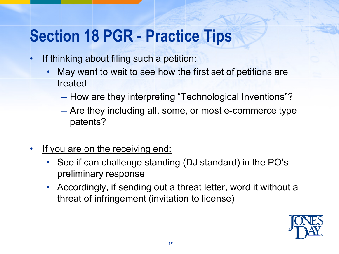## **Section 18 PGR - Practice Tips**

- If thinking about filing such a petition:
	- May want to wait to see how the first set of petitions are treated
		- How are they interpreting "Technological Inventions"?
		- Are they including all, some, or most e-commerce type patents?
- If you are on the receiving end:
	- See if can challenge standing (DJ standard) in the PO's preliminary response
	- Accordingly, if sending out a threat letter, word it without a threat of infringement (invitation to license)

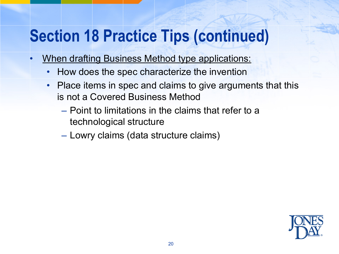## **Section 18 Practice Tips (continued)**

- When drafting Business Method type applications:
	- How does the spec characterize the invention
	- Place items in spec and claims to give arguments that this is not a Covered Business Method
		- Point to limitations in the claims that refer to a technological structure
		- Lowry claims (data structure claims)

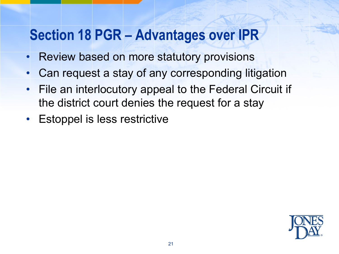#### **Section 18 PGR – Advantages over IPR**

- Review based on more statutory provisions
- Can request a stay of any corresponding litigation
- File an interlocutory appeal to the Federal Circuit if the district court denies the request for a stay
- **Estoppel is less restrictive**

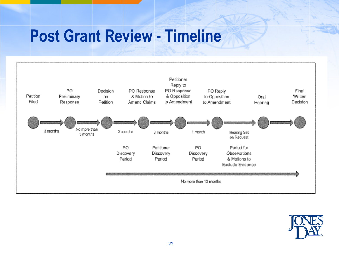### **Post Grant Review - Timeline**



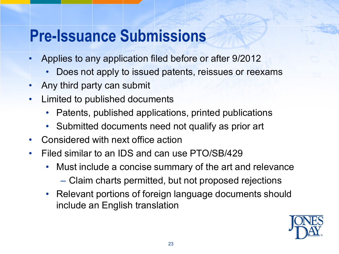## **Pre-Issuance Submissions**

- Applies to any application filed before or after 9/2012
	- Does not apply to issued patents, reissues or reexams
- Any third party can submit
- Limited to published documents
	- Patents, published applications, printed publications
	- Submitted documents need not qualify as prior art
- Considered with next office action
- Filed similar to an IDS and can use PTO/SB/429
	- Must include a concise summary of the art and relevance
		- Claim charts permitted, but not proposed rejections
	- Relevant portions of foreign language documents should include an English translation

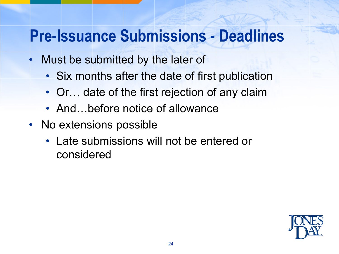## **Pre-Issuance Submissions - Deadlines**

- Must be submitted by the later of
	- Six months after the date of first publication
	- Or... date of the first rejection of any claim
	- And...before notice of allowance
- No extensions possible
	- Late submissions will not be entered or considered

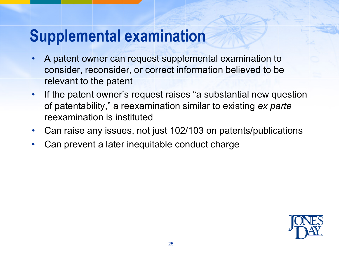## **Supplemental examination**

- A patent owner can request supplemental examination to consider, reconsider, or correct information believed to be relevant to the patent
- If the patent owner's request raises "a substantial new question of patentability," a reexamination similar to existing *ex parte*  reexamination is instituted
- Can raise any issues, not just 102/103 on patents/publications
- Can prevent a later inequitable conduct charge

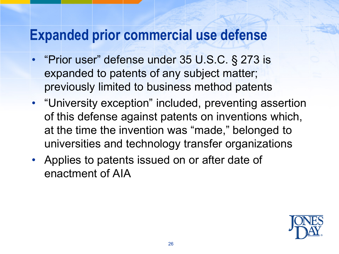#### **Expanded prior commercial use defense**

- "Prior user" defense under 35 U.S.C. § 273 is expanded to patents of any subject matter; previously limited to business method patents
- "University exception" included, preventing assertion of this defense against patents on inventions which, at the time the invention was "made," belonged to universities and technology transfer organizations
- Applies to patents issued on or after date of enactment of AIA

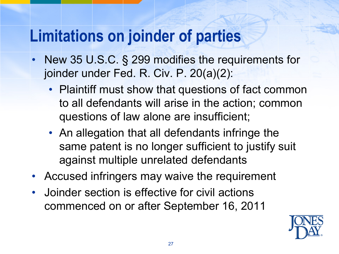## **Limitations on joinder of parties**

- New 35 U.S.C. § 299 modifies the requirements for joinder under Fed. R. Civ. P. 20(a)(2):
	- Plaintiff must show that questions of fact common to all defendants will arise in the action; common questions of law alone are insufficient;
	- An allegation that all defendants infringe the same patent is no longer sufficient to justify suit against multiple unrelated defendants
- Accused infringers may waive the requirement
- Joinder section is effective for civil actions commenced on or after September 16, 2011

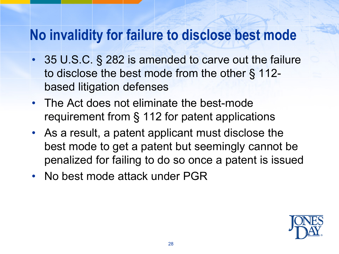#### **No invalidity for failure to disclose best mode**

- 35 U.S.C. § 282 is amended to carve out the failure to disclose the best mode from the other § 112 based litigation defenses
- The Act does not eliminate the best-mode requirement from § 112 for patent applications
- As a result, a patent applicant must disclose the best mode to get a patent but seemingly cannot be penalized for failing to do so once a patent is issued
- No best mode attack under PGR

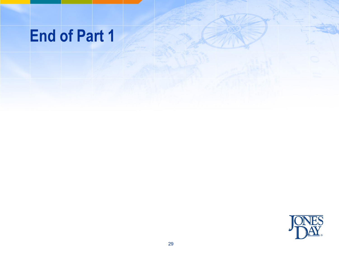## **End of Part 1**

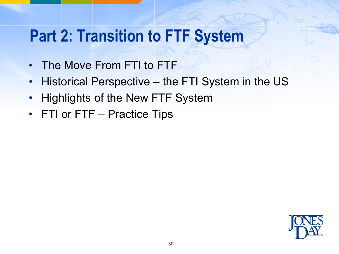## **Part 2: Transition to FTF System**

- The Move From FTI to FTF
- Historical Perspective the FTI System in the US
- Highlights of the New FTF System
- FTI or FTF Practice Tips

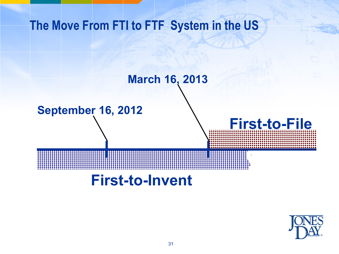#### **The Move From FTI to FTF System in the US**

#### **March 16, 2013**

#### **September 16, 2012**

#### **First-to-Invent**



**First-to-File**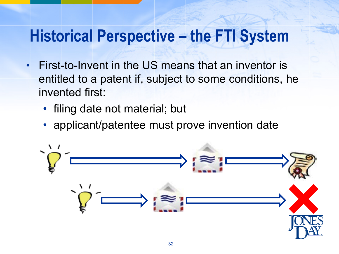## **Historical Perspective – the FTI System**

- First-to-Invent in the US means that an inventor is entitled to a patent if, subject to some conditions, he invented first:
	- filing date not material; but
	- applicant/patentee must prove invention date

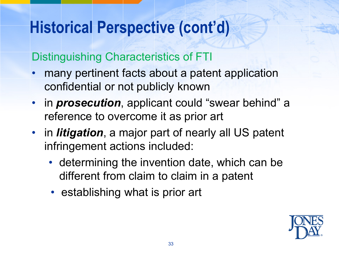## **Historical Perspective (cont'd)**

#### Distinguishing Characteristics of FTI

- many pertinent facts about a patent application confidential or not publicly known
- in *prosecution*, applicant could "swear behind" a reference to overcome it as prior art
- in *litigation*, a major part of nearly all US patent infringement actions included:
	- determining the invention date, which can be different from claim to claim in a patent
	- establishing what is prior art

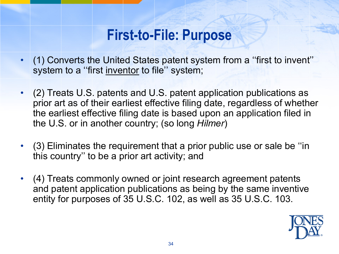#### **First-to-File: Purpose**

- (1) Converts the United States patent system from a ''first to invent'' system to a ''first inventor to file'' system;
- (2) Treats U.S. patents and U.S. patent application publications as prior art as of their earliest effective filing date, regardless of whether the earliest effective filing date is based upon an application filed in the U.S. or in another country; (so long *Hilmer*)
- (3) Eliminates the requirement that a prior public use or sale be ''in this country'' to be a prior art activity; and
- (4) Treats commonly owned or joint research agreement patents and patent application publications as being by the same inventive entity for purposes of 35 U.S.C. 102, as well as 35 U.S.C. 103.

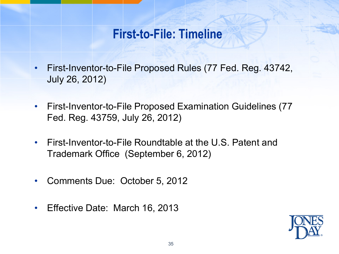#### **First-to-File: Timeline**

- First-Inventor-to-File Proposed Rules (77 Fed. Reg. 43742, July 26, 2012)
- First-Inventor-to-File Proposed Examination Guidelines (77 Fed. Reg. 43759, July 26, 2012)
- First-Inventor-to-File Roundtable at the U.S. Patent and Trademark Office (September 6, 2012)
- Comments Due: October 5, 2012
- Effective Date: March 16, 2013

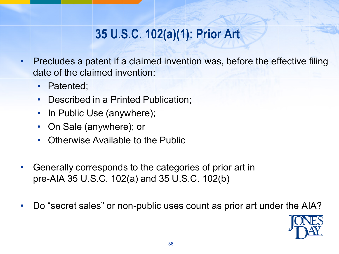#### **35 U.S.C. 102(a)(1): Prior Art**

- Precludes a patent if a claimed invention was, before the effective filing date of the claimed invention:
	- Patented;
	- Described in a Printed Publication;
	- In Public Use (anywhere);
	- On Sale (anywhere); or
	- Otherwise Available to the Public
- Generally corresponds to the categories of prior art in pre-AIA 35 U.S.C. 102(a) and 35 U.S.C. 102(b)
- Do "secret sales" or non-public uses count as prior art under the AIA?

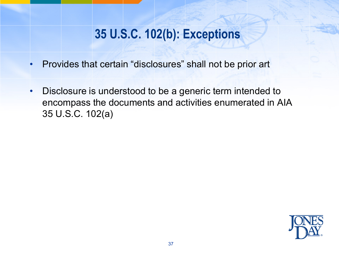### **35 U.S.C. 102(b): Exceptions**

- Provides that certain "disclosures" shall not be prior art
- Disclosure is understood to be a generic term intended to encompass the documents and activities enumerated in AIA 35 U.S.C. 102(a)

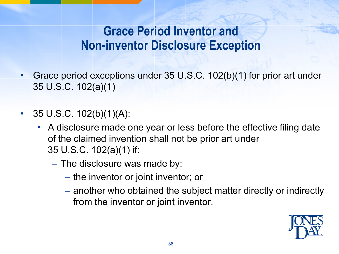### **Grace Period Inventor and Non-inventor Disclosure Exception**

- Grace period exceptions under 35 U.S.C. 102(b)(1) for prior art under 35 U.S.C. 102(a)(1)
- 35 U.S.C.  $102(b)(1)(A)$ :
	- A disclosure made one year or less before the effective filing date of the claimed invention shall not be prior art under 35 U.S.C. 102(a)(1) if:
		- The disclosure was made by:
			- the inventor or joint inventor; or
			- another who obtained the subject matter directly or indirectly from the inventor or joint inventor.

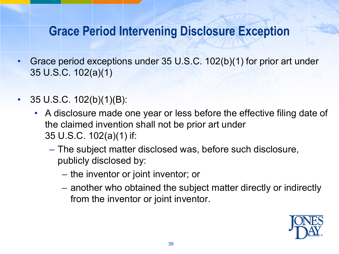### **Grace Period Intervening Disclosure Exception**

- Grace period exceptions under 35 U.S.C. 102(b)(1) for prior art under 35 U.S.C. 102(a)(1)
- 35 U.S.C. 102(b)(1)(B):
	- A disclosure made one year or less before the effective filing date of the claimed invention shall not be prior art under 35 U.S.C. 102(a)(1) if:
		- The subject matter disclosed was, before such disclosure, publicly disclosed by:
			- the inventor or joint inventor; or
			- another who obtained the subject matter directly or indirectly from the inventor or joint inventor.

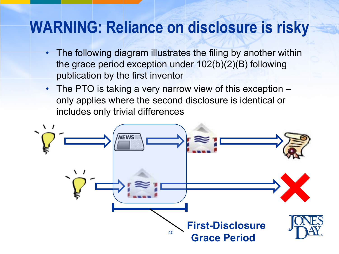# **WARNING: Reliance on disclosure is risky**

- The following diagram illustrates the filing by another within the grace period exception under 102(b)(2)(B) following publication by the first inventor
- The PTO is taking a very narrow view of this exception only applies where the second disclosure is identical or includes only trivial differences

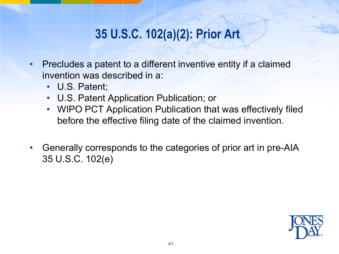### **35 U.S.C. 102(a)(2): Prior Art**

- Precludes a patent to a different inventive entity if a claimed invention was described in a:
	- U.S. Patent;
	- U.S. Patent Application Publication; or
	- WIPO PCT Application Publication that was effectively filed before the effective filing date of the claimed invention.
- Generally corresponds to the categories of prior art in pre-AIA 35 U.S.C. 102(e)

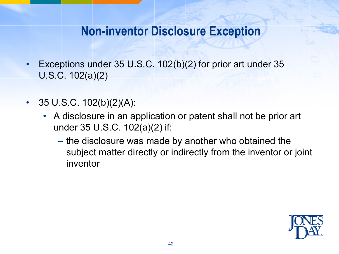#### **Non-inventor Disclosure Exception**

- Exceptions under 35 U.S.C. 102(b)(2) for prior art under 35 U.S.C. 102(a)(2)
- 35 U.S.C.  $102(b)(2)(A)$ :
	- A disclosure in an application or patent shall not be prior art under 35 U.S.C. 102(a)(2) if:
		- the disclosure was made by another who obtained the subject matter directly or indirectly from the inventor or joint inventor

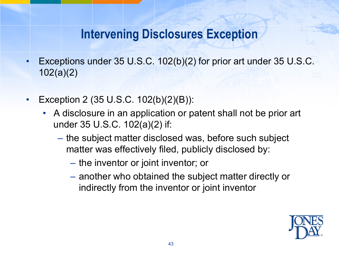### **Intervening Disclosures Exception**

- Exceptions under 35 U.S.C. 102(b)(2) for prior art under 35 U.S.C. 102(a)(2)
- Exception 2 (35 U.S.C. 102(b)(2)(B)):
	- A disclosure in an application or patent shall not be prior art under 35 U.S.C. 102(a)(2) if:
		- the subject matter disclosed was, before such subject matter was effectively filed, publicly disclosed by:
			- the inventor or joint inventor; or
			- another who obtained the subject matter directly or indirectly from the inventor or joint inventor

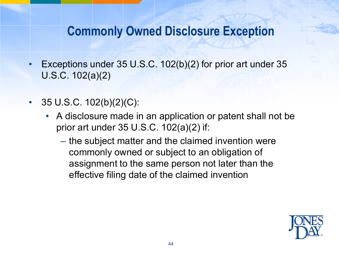#### **Commonly Owned Disclosure Exception**

- Exceptions under 35 U.S.C.  $102(b)(2)$  for prior art under 35 U.S.C. 102(a)(2)
- 35 U.S.C.  $102(b)(2)(C)$ :
	- A disclosure made in an application or patent shall not be prior art under 35 U.S.C. 102(a)(2) if:
		- the subject matter and the claimed invention were commonly owned or subject to an obligation of assignment to the same person not later than the effective filing date of the claimed invention

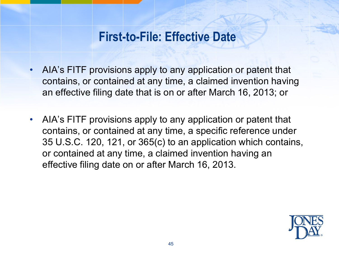### **First-to-File: Effective Date**

- AIA's FITF provisions apply to any application or patent that contains, or contained at any time, a claimed invention having an effective filing date that is on or after March 16, 2013; or
- AIA's FITF provisions apply to any application or patent that contains, or contained at any time, a specific reference under 35 U.S.C. 120, 121, or 365(c) to an application which contains, or contained at any time, a claimed invention having an effective filing date on or after March 16, 2013.

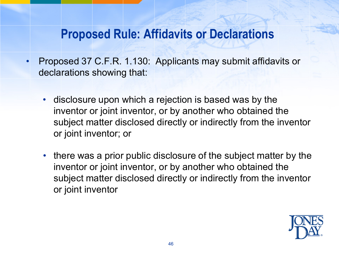### **Proposed Rule: Affidavits or Declarations**

- Proposed 37 C.F.R. 1.130: Applicants may submit affidavits or declarations showing that:
	- disclosure upon which a rejection is based was by the inventor or joint inventor, or by another who obtained the subject matter disclosed directly or indirectly from the inventor or joint inventor; or
	- there was a prior public disclosure of the subject matter by the inventor or joint inventor, or by another who obtained the subject matter disclosed directly or indirectly from the inventor or joint inventor

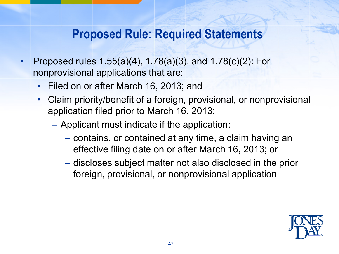### **Proposed Rule: Required Statements**

- Proposed rules  $1.55(a)(4)$ ,  $1.78(a)(3)$ , and  $1.78(c)(2)$ : For nonprovisional applications that are:
	- Filed on or after March 16, 2013; and
	- Claim priority/benefit of a foreign, provisional, or nonprovisional application filed prior to March 16, 2013:
		- Applicant must indicate if the application:
			- contains, or contained at any time, a claim having an effective filing date on or after March 16, 2013; or
			- discloses subject matter not also disclosed in the prior foreign, provisional, or nonprovisional application

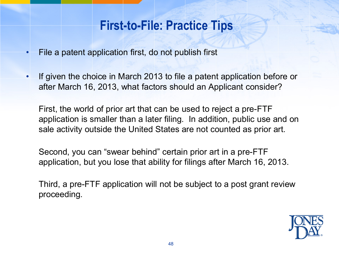### **First-to-File: Practice Tips**

- File a patent application first, do not publish first
- If given the choice in March 2013 to file a patent application before or after March 16, 2013, what factors should an Applicant consider?

First, the world of prior art that can be used to reject a pre-FTF application is smaller than a later filing. In addition, public use and on sale activity outside the United States are not counted as prior art.

Second, you can "swear behind" certain prior art in a pre-FTF application, but you lose that ability for filings after March 16, 2013.

Third, a pre-FTF application will not be subject to a post grant review proceeding.

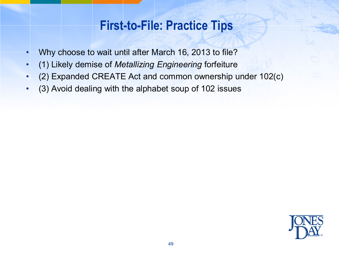### **First-to-File: Practice Tips**

- Why choose to wait until after March 16, 2013 to file?
- (1) Likely demise of *Metallizing Engineering* forfeiture
- (2) Expanded CREATE Act and common ownership under 102(c)
- (3) Avoid dealing with the alphabet soup of 102 issues

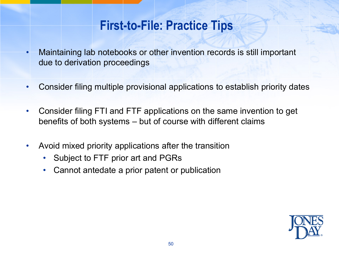### **First-to-File: Practice Tips**

- Maintaining lab notebooks or other invention records is still important due to derivation proceedings
- Consider filing multiple provisional applications to establish priority dates
- Consider filing FTI and FTF applications on the same invention to get benefits of both systems – but of course with different claims
- Avoid mixed priority applications after the transition
	- Subject to FTF prior art and PGRs
	- Cannot antedate a prior patent or publication

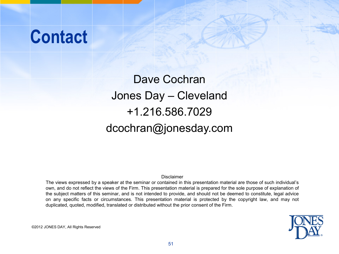# **Contact**

Dave Cochran Jones Day – Cleveland +1.216.586.7029 dcochran@jonesday.com

Disclaimer

The views expressed by a speaker at the seminar or contained in this presentation material are those of such individual's own, and do not reflect the views of the Firm. This presentation material is prepared for the sole purpose of explanation of the subject matters of this seminar, and is not intended to provide, and should not be deemed to constitute, legal advice on any specific facts or circumstances. This presentation material is protected by the copyright law, and may not duplicated, quoted, modified, translated or distributed without the prior consent of the Firm.



©2012 JONES DAY, All Rights Reserved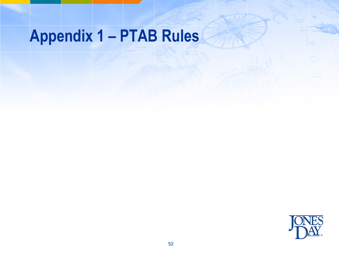# **Appendix 1 – PTAB Rules**

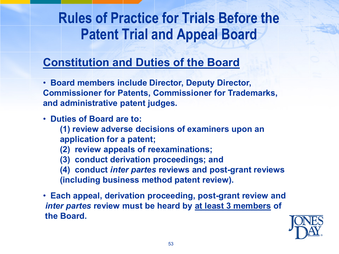#### **Constitution and Duties of the Board**

• **Board members include Director, Deputy Director, Commissioner for Patents, Commissioner for Trademarks, and administrative patent judges.**

- • **Duties of Board are to:**
	- **(1) review adverse decisions of examiners upon an application for a patent;**
	- **(2) review appeals of reexaminations;**
	- **(3) conduct derivation proceedings; and**
	- **(4) conduct** *inter partes* **reviews and post-grant reviews (including business method patent review).**
- • **Each appeal, derivation proceeding, post-grant review and**  *inter partes* **review must be heard by at least 3 members of the Board.**

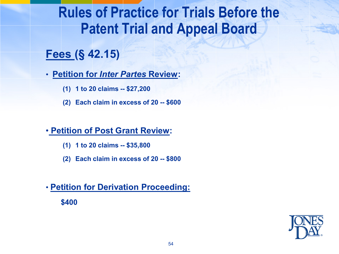#### **Fees (§ 42.15)**

• **Petition for** *Inter Partes* **Review:**

- **(1) 1 to 20 claims -- \$27,200**
- **(2) Each claim in excess of 20 -- \$600**

#### • **Petition of Post Grant Review:**

- **(1) 1 to 20 claims -- \$35,800**
- **(2) Each claim in excess of 20 -- \$800**

#### • **Petition for Derivation Proceeding:**

**\$400**

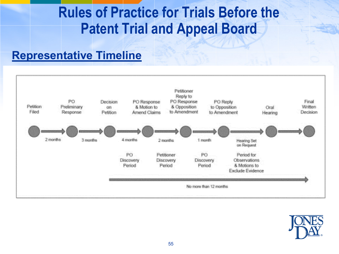#### **Representative Timeline**



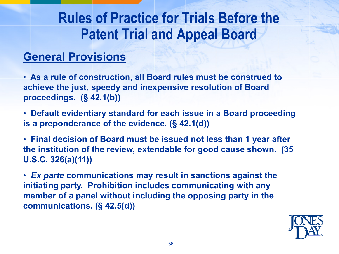#### **General Provisions**

• **As a rule of construction, all Board rules must be construed to achieve the just, speedy and inexpensive resolution of Board proceedings. (§ 42.1(b))**

• **Default evidentiary standard for each issue in a Board proceeding is a preponderance of the evidence. (§ 42.1(d))**

• **Final decision of Board must be issued not less than 1 year after the institution of the review, extendable for good cause shown. (35 U.S.C. 326(a)(11))**

•*Ex parte* **communications may result in sanctions against the initiating party. Prohibition includes communicating with any member of a panel without including the opposing party in the communications. (§ 42.5(d))**

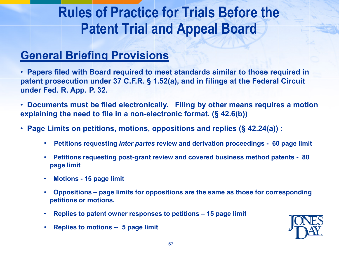#### **General Briefing Provisions**

• **Papers filed with Board required to meet standards similar to those required in patent prosecution under 37 C.F.R. § 1.52(a), and in filings at the Federal Circuit under Fed. R. App. P. 32.**

• **Documents must be filed electronically. Filing by other means requires a motion explaining the need to file in a non-electronic format. (§ 42.6(b))**

- • **Page Limits on petitions, motions, oppositions and replies (§ 42.24(a)) :**
	- • **Petitions requesting** *inter partes* **review and derivation proceedings 60 page limit**
	- • **Petitions requesting post-grant review and covered business method patents 80 page limit**
	- • **Motions - 15 page limit**
	- • **Oppositions – page limits for oppositions are the same as those for corresponding petitions or motions.**
	- • **Replies to patent owner responses to petitions – 15 page limit**
	- • **Replies to motions -- 5 page limit**

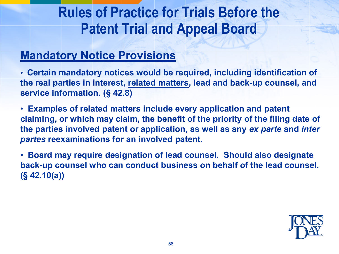#### **Mandatory Notice Provisions**

• **Certain mandatory notices would be required, including identification of the real parties in interest, related matters, lead and back-up counsel, and service information. (§ 42.8)**

• **Examples of related matters include every application and patent claiming, or which may claim, the benefit of the priority of the filing date of the parties involved patent or application, as well as any** *ex parte* **and** *inter partes* **reexaminations for an involved patent.**

• **Board may require designation of lead counsel. Should also designate back-up counsel who can conduct business on behalf of the lead counsel. (§ 42.10(a))**

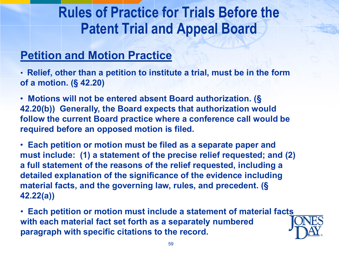#### **Petition and Motion Practice**

• **Relief, other than a petition to institute a trial, must be in the form of a motion. (§ 42.20)**

• **Motions will not be entered absent Board authorization. (§ 42.20(b)) Generally, the Board expects that authorization would follow the current Board practice where a conference call would be required before an opposed motion is filed.**

• **Each petition or motion must be filed as a separate paper and must include: (1) a statement of the precise relief requested; and (2) a full statement of the reasons of the relief requested, including a detailed explanation of the significance of the evidence including material facts, and the governing law, rules, and precedent. (§ 42.22(a))**

• **Each petition or motion must include a statement of material facts with each material fact set forth as a separately numbered paragraph with specific citations to the record.**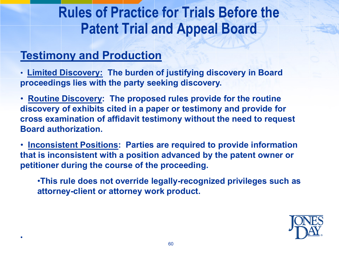#### **Testimony and Production**

•

• **Limited Discovery: The burden of justifying discovery in Board proceedings lies with the party seeking discovery.** 

• **Routine Discovery: The proposed rules provide for the routine discovery of exhibits cited in a paper or testimony and provide for cross examination of affidavit testimony without the need to request Board authorization.**

• **Inconsistent Positions: Parties are required to provide information that is inconsistent with a position advanced by the patent owner or petitioner during the course of the proceeding.** 

•**This rule does not override legally-recognized privileges such as attorney-client or attorney work product.**

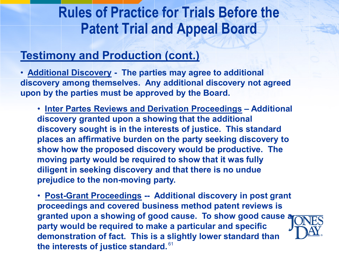#### **Testimony and Production (cont.)**

• **Additional Discovery - The parties may agree to additional discovery among themselves. Any additional discovery not agreed upon by the parties must be approved by the Board.**

• **Inter Partes Reviews and Derivation Proceedings – Additional discovery granted upon a showing that the additional discovery sought is in the interests of justice. This standard places an affirmative burden on the party seeking discovery to show how the proposed discovery would be productive. The moving party would be required to show that it was fully diligent in seeking discovery and that there is no undue prejudice to the non-moving party.**

the interests of justice standard.<sup>61</sup> • **Post-Grant Proceedings -- Additional discovery in post grant proceedings and covered business method patent reviews is granted upon a showing of good cause. To show good cause a party would be required to make a particular and specific demonstration of fact. This is a slightly lower standard than**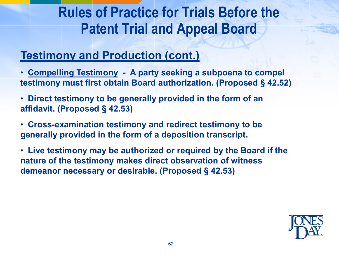### **Testimony and Production (cont.)**

- • **Compelling Testimony A party seeking a subpoena to compel testimony must first obtain Board authorization. (Proposed § 42.52)**
- • **Direct testimony to be generally provided in the form of an affidavit. (Proposed § 42.53)**
- • **Cross-examination testimony and redirect testimony to be generally provided in the form of a deposition transcript.**
- • **Live testimony may be authorized or required by the Board if the nature of the testimony makes direct observation of witness demeanor necessary or desirable. (Proposed § 42.53)**

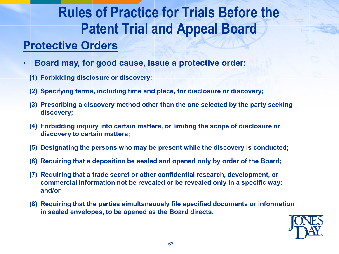#### **Protective Orders**

- • **Board may, for good cause, issue a protective order:**
	- **(1) Forbidding disclosure or discovery;**
	- **(2) Specifying terms, including time and place, for disclosure or discovery;**
	- **(3) Prescribing a discovery method other than the one selected by the party seeking discovery;**
	- **(4) Forbidding inquiry into certain matters, or limiting the scope of disclosure or discovery to certain matters;**
	- **(5) Designating the persons who may be present while the discovery is conducted;**
	- **(6) Requiring that a deposition be sealed and opened only by order of the Board;**
	- **(7) Requiring that a trade secret or other confidential research, development, or commercial information not be revealed or be revealed only in a specific way; and/or**
	- **(8) Requiring that the parties simultaneously file specified documents or information in sealed envelopes, to be opened as the Board directs.**

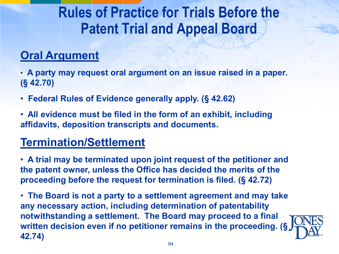#### **Oral Argument**

• **A party may request oral argument on an issue raised in a paper. (§ 42.70)**

- • **Federal Rules of Evidence generally apply. (§ 42.62)**
- • **All evidence must be filed in the form of an exhibit, including affidavits, deposition transcripts and documents.**

#### **Termination/Settlement**

• **A trial may be terminated upon joint request of the petitioner and the patent owner, unless the Office has decided the merits of the proceeding before the request for termination is filed. (§ 42.72)**

• **The Board is not a party to a settlement agreement and may take any necessary action, including determination of patentability notwithstanding a settlement. The Board may proceed to a final written decision even if no petitioner remains in the proceeding. (§ 42.74)**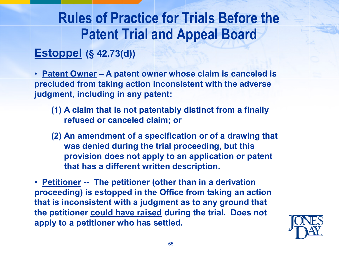#### **Estoppel (§ 42.73(d))**

• **Patent Owner – A patent owner whose claim is canceled is precluded from taking action inconsistent with the adverse judgment, including in any patent:**

- **(1) A claim that is not patentably distinct from a finally refused or canceled claim; or**
- **(2) An amendment of a specification or of a drawing that was denied during the trial proceeding, but this provision does not apply to an application or patent that has a different written description.**

• **Petitioner -- The petitioner (other than in a derivation proceeding) is estopped in the Office from taking an action that is inconsistent with a judgment as to any ground that the petitioner could have raised during the trial. Does not apply to a petitioner who has settled.**

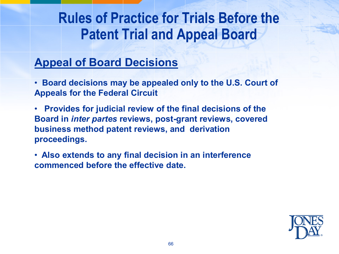#### **Appeal of Board Decisions**

- • **Board decisions may be appealed only to the U.S. Court of Appeals for the Federal Circuit**
- • **Provides for judicial review of the final decisions of the Board in** *inter partes* **reviews, post-grant reviews, covered business method patent reviews, and derivation proceedings.**
- • **Also extends to any final decision in an interference commenced before the effective date.**

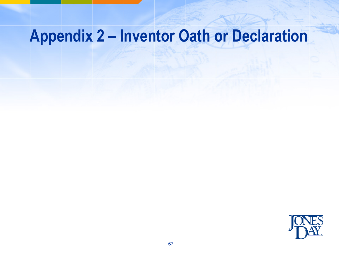# **Appendix 2 – Inventor Oath or Declaration**

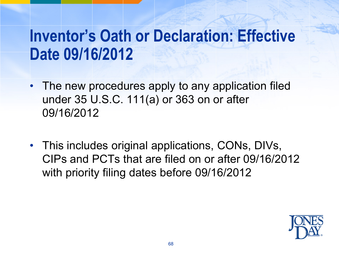# **Inventor's Oath or Declaration: Effective Date 09/16/2012**

- The new procedures apply to any application filed under 35 U.S.C. 111(a) or 363 on or after 09/16/2012
- This includes original applications, CONs, DIVs, CIPs and PCTs that are filed on or after 09/16/2012 with priority filing dates before 09/16/2012

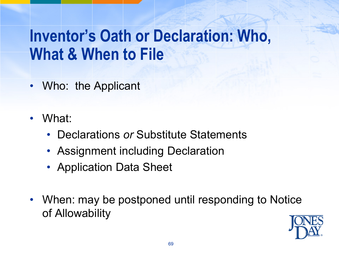# **Inventor's Oath or Declaration: Who, What & When to File**

- Who: the Applicant
- What:
	- Declarations *or* Substitute Statements
	- Assignment including Declaration
	- Application Data Sheet
- When: may be postponed until responding to Notice of Allowability

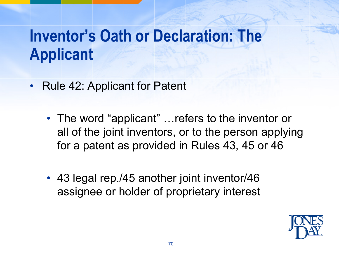# **Inventor's Oath or Declaration: The Applicant**

- Rule 42: Applicant for Patent
	- The word "applicant" ... refers to the inventor or all of the joint inventors, or to the person applying for a patent as provided in Rules 43, 45 or 46
	- 43 legal rep./45 another joint inventor/46 assignee or holder of proprietary interest

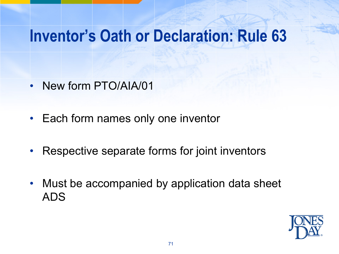# **Inventor's Oath or Declaration: Rule 63**

- New form PTO/AIA/01
- Each form names only one inventor
- Respective separate forms for joint inventors
- Must be accompanied by application data sheet ADS

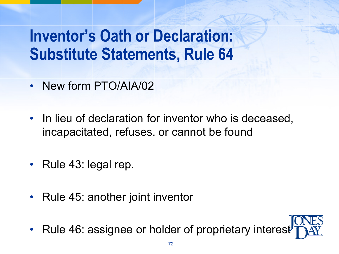# **Inventor's Oath or Declaration: Substitute Statements, Rule 64**

- New form PTO/AIA/02
- In lieu of declaration for inventor who is deceased, incapacitated, refuses, or cannot be found
- Rule 43: legal rep.
- Rule 45: another joint inventor
- Rule 46: assignee or holder of proprietary interest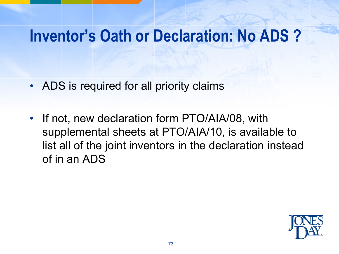### **Inventor's Oath or Declaration: No ADS ?**

- ADS is required for all priority claims
- If not, new declaration form PTO/AIA/08, with supplemental sheets at PTO/AIA/10, is available to list all of the joint inventors in the declaration instead of in an ADS

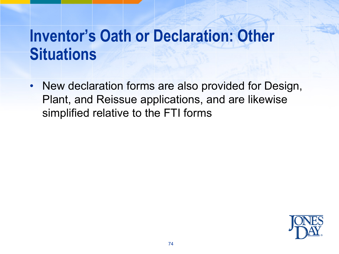# **Inventor's Oath or Declaration: Other Situations**

• New declaration forms are also provided for Design, Plant, and Reissue applications, and are likewise simplified relative to the FTI forms

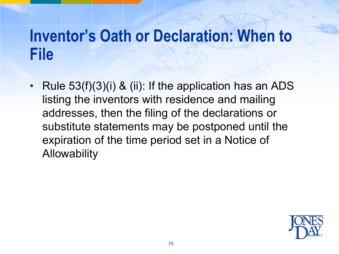### **Inventor's Oath or Declaration: When to File**

• Rule 53(f)(3)(i) & (ii): If the application has an ADS listing the inventors with residence and mailing addresses, then the filing of the declarations or substitute statements may be postponed until the expiration of the time period set in a Notice of **Allowability** 

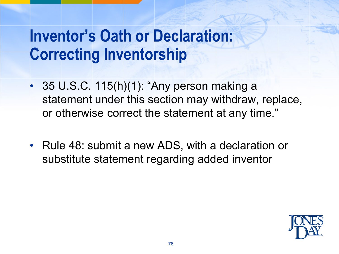# **Inventor's Oath or Declaration: Correcting Inventorship**

- 35 U.S.C. 115(h)(1): "Any person making a statement under this section may withdraw, replace, or otherwise correct the statement at any time."
- Rule 48: submit a new ADS, with a declaration or substitute statement regarding added inventor

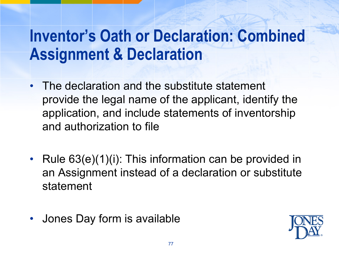# **Inventor's Oath or Declaration: Combined Assignment & Declaration**

- The declaration and the substitute statement provide the legal name of the applicant, identify the application, and include statements of inventorship and authorization to file
- Rule 63(e)(1)(i): This information can be provided in an Assignment instead of a declaration or substitute statement
- Jones Day form is available